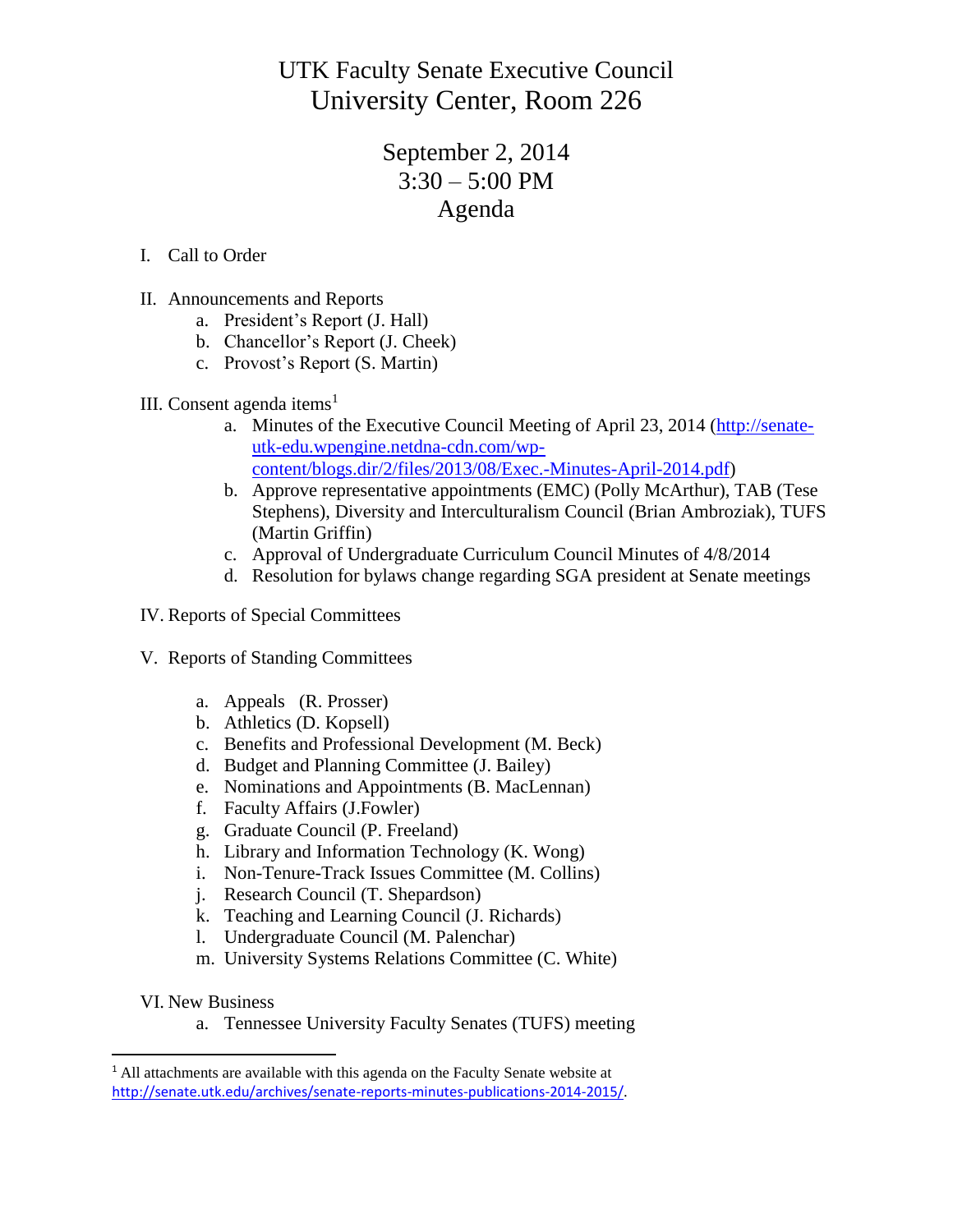UTK Faculty Senate Executive Council University Center, Room 226

## September 2, 2014  $3:30 - 5:00$  PM Agenda

- I. Call to Order
- II. Announcements and Reports
	- a. President's Report (J. Hall)
	- b. Chancellor's Report (J. Cheek)
	- c. Provost's Report (S. Martin)
- III. Consent agenda items<sup>1</sup>
	- a. Minutes of the Executive Council Meeting of April 23, 2014 [\(http://senate](http://senate-utk-edu.wpengine.netdna-cdn.com/wp-content/blogs.dir/2/files/2013/08/Exec.-Minutes-April-2014.pdf)[utk-edu.wpengine.netdna-cdn.com/wp](http://senate-utk-edu.wpengine.netdna-cdn.com/wp-content/blogs.dir/2/files/2013/08/Exec.-Minutes-April-2014.pdf)[content/blogs.dir/2/files/2013/08/Exec.-Minutes-April-2014.pdf\)](http://senate-utk-edu.wpengine.netdna-cdn.com/wp-content/blogs.dir/2/files/2013/08/Exec.-Minutes-April-2014.pdf)
	- b. Approve representative appointments (EMC) (Polly McArthur), TAB (Tese Stephens), Diversity and Interculturalism Council (Brian Ambroziak), TUFS (Martin Griffin)
	- c. Approval of Undergraduate Curriculum Council Minutes of 4/8/2014
	- d. Resolution for bylaws change regarding SGA president at Senate meetings
- IV. Reports of Special Committees
- V. Reports of Standing Committees
	- a. Appeals (R. Prosser)
	- b. Athletics (D. Kopsell)
	- c. Benefits and Professional Development (M. Beck)
	- d. Budget and Planning Committee (J. Bailey)
	- e. Nominations and Appointments (B. MacLennan)
	- f. Faculty Affairs (J.Fowler)
	- g. Graduate Council (P. Freeland)
	- h. Library and Information Technology (K. Wong)
	- i. Non-Tenure-Track Issues Committee (M. Collins)
	- j. Research Council (T. Shepardson)
	- k. Teaching and Learning Council (J. Richards)
	- l. Undergraduate Council (M. Palenchar)
	- m. University Systems Relations Committee (C. White)
- VI. New Business

 $\overline{\phantom{a}}$ 

a. Tennessee University Faculty Senates (TUFS) meeting

<sup>&</sup>lt;sup>1</sup> All attachments are available with this agenda on the Faculty Senate website at <http://senate.utk.edu/archives/senate-reports-minutes-publications-2014-2015/>.